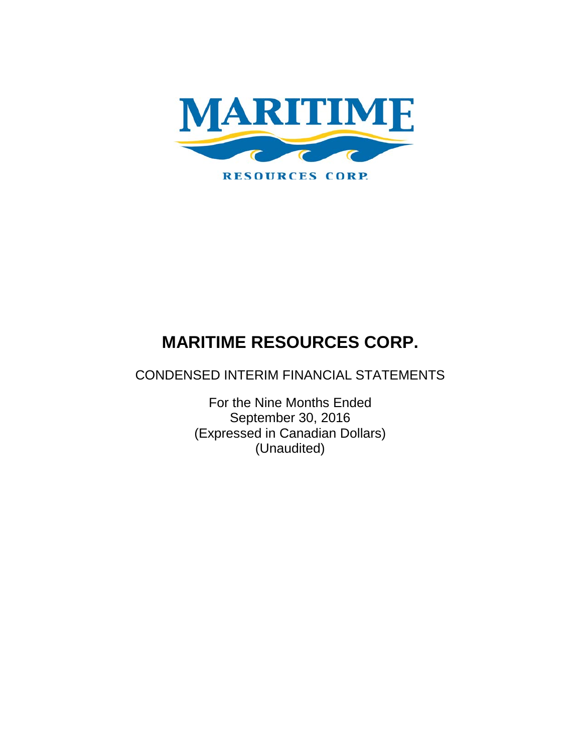

CONDENSED INTERIM FINANCIAL STATEMENTS

For the Nine Months Ended September 30, 2016 (Expressed in Canadian Dollars) (Unaudited)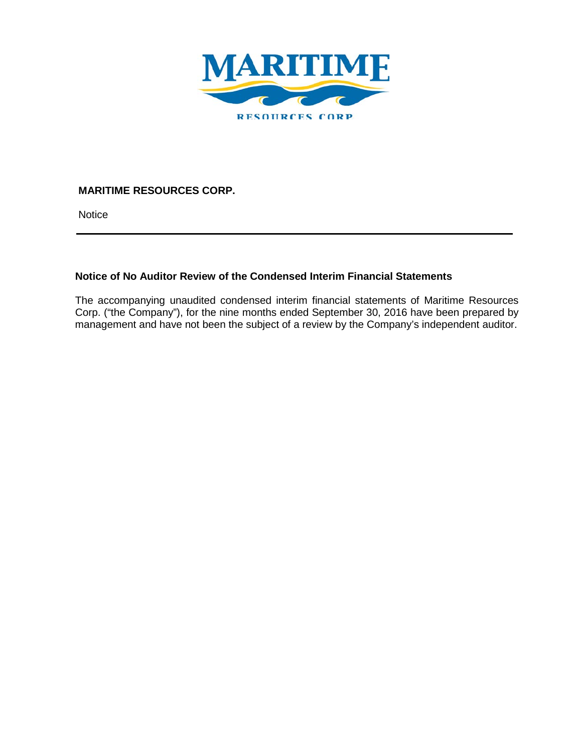

**Notice** 

# **Notice of No Auditor Review of the Condensed Interim Financial Statements**

The accompanying unaudited condensed interim financial statements of Maritime Resources Corp. ("the Company"), for the nine months ended September 30, 2016 have been prepared by management and have not been the subject of a review by the Company's independent auditor.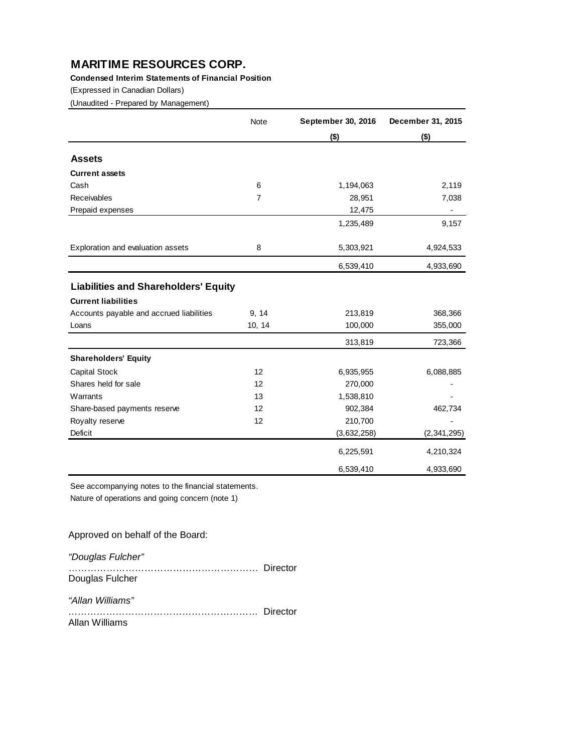**Condensed Interim Statements of Financial Position**

(Expressed in Canadian Dollars)

(Unaudited - Prepared by Management)

|                                             | Note           | September 30, 2016 | December 31, 2015 |
|---------------------------------------------|----------------|--------------------|-------------------|
|                                             |                | $($ \$)            | $($ \$)           |
| <b>Assets</b>                               |                |                    |                   |
| <b>Current assets</b>                       |                |                    |                   |
| Cash                                        | 6              | 1,194,063          | 2,119             |
| <b>Receivables</b>                          | $\overline{7}$ | 28,951             | 7,038             |
| Prepaid expenses                            |                | 12,475             |                   |
|                                             |                | 1,235,489          | 9,157             |
| Exploration and evaluation assets           | 8              | 5,303,921          | 4,924,533         |
|                                             |                | 6,539,410          | 4,933,690         |
| <b>Liabilities and Shareholders' Equity</b> |                |                    |                   |
| <b>Current liabilities</b>                  |                |                    |                   |
| Accounts payable and accrued liabilities    | 9, 14          | 213,819            | 368,366           |
| Loans                                       | 10, 14         | 100,000            | 355,000           |
|                                             |                | 313,819            | 723,366           |
| <b>Shareholders' Equity</b>                 |                |                    |                   |
| Capital Stock                               | 12             | 6,935,955          | 6,088,885         |
| Shares held for sale                        | 12             | 270,000            |                   |
| Warrants                                    | 13             | 1,538,810          |                   |
| Share-based payments reserve                | 12             | 902,384            | 462,734           |
| Royalty reserve                             | 12             | 210,700            |                   |
| Deficit                                     |                | (3,632,258)        | (2, 341, 295)     |
|                                             |                | 6,225,591          | 4,210,324         |
|                                             |                | 6,539,410          | 4,933,690         |

See accompanying notes to the financial statements. Nature of operations and going concern (note 1)

Approved on behalf of the Board:

*"Douglas Fulcher"*

…………………………………………………… Director Douglas Fulcher

*"Allan Williams"*

*……………………………………………………* Director Allan Williams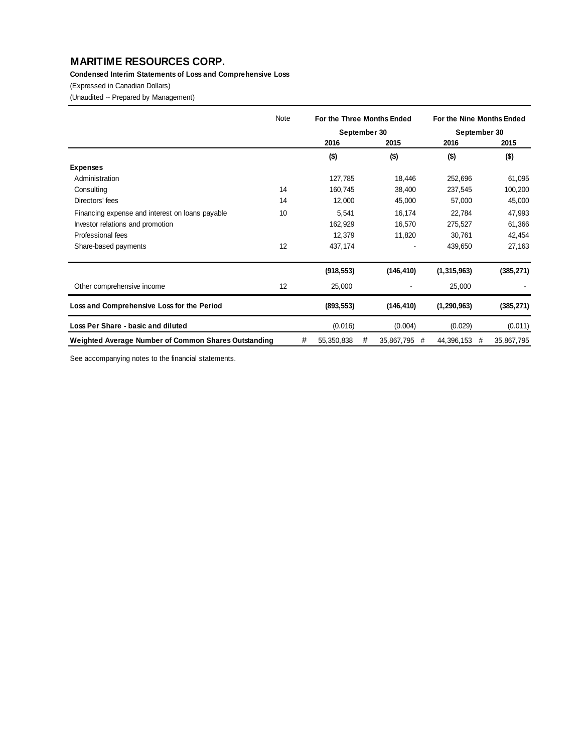### **Condensed Interim Statements of Loss and Comprehensive Loss**

(Expressed in Canadian Dollars)

(Unaudited -- Prepared by Management)

|                                                      | Note |   | For the Three Months Ended |   |                 | For the Nine Months Ended |            |
|------------------------------------------------------|------|---|----------------------------|---|-----------------|---------------------------|------------|
|                                                      |      |   | September 30               |   |                 | September 30              |            |
|                                                      |      |   | 2016                       |   | 2015            | 2016                      | 2015       |
|                                                      |      |   | $($ \$)                    |   | $($ \$)         | $($ \$)                   | $($ \$)    |
| <b>Expenses</b>                                      |      |   |                            |   |                 |                           |            |
| Administration                                       |      |   | 127,785                    |   | 18,446          | 252,696                   | 61,095     |
| Consulting                                           | 14   |   | 160,745                    |   | 38,400          | 237,545                   | 100,200    |
| Directors' fees                                      | 14   |   | 12,000                     |   | 45,000          | 57,000                    | 45,000     |
| Financing expense and interest on loans payable      | 10   |   | 5,541                      |   | 16,174          | 22,784                    | 47,993     |
| Investor relations and promotion                     |      |   | 162,929                    |   | 16,570          | 275,527                   | 61,366     |
| Professional fees                                    |      |   | 12,379                     |   | 11,820          | 30,761                    | 42,454     |
| Share-based payments                                 | 12   |   | 437,174                    |   |                 | 439,650                   | 27,163     |
|                                                      |      |   | (918, 553)                 |   | (146, 410)      | (1, 315, 963)             | (385, 271) |
| Other comprehensive income                           | 12   |   | 25,000                     |   |                 | 25,000                    |            |
| Loss and Comprehensive Loss for the Period           |      |   | (893, 553)                 |   | (146, 410)      | (1, 290, 963)             | (385, 271) |
| Loss Per Share - basic and diluted                   |      |   | (0.016)                    |   | (0.004)         | (0.029)                   | (0.011)    |
| Weighted Average Number of Common Shares Outstanding |      | # | 55,350,838                 | # | 35,867,795<br># | 44,396,153<br>#           | 35,867,795 |

See accompanying notes to the financial statements.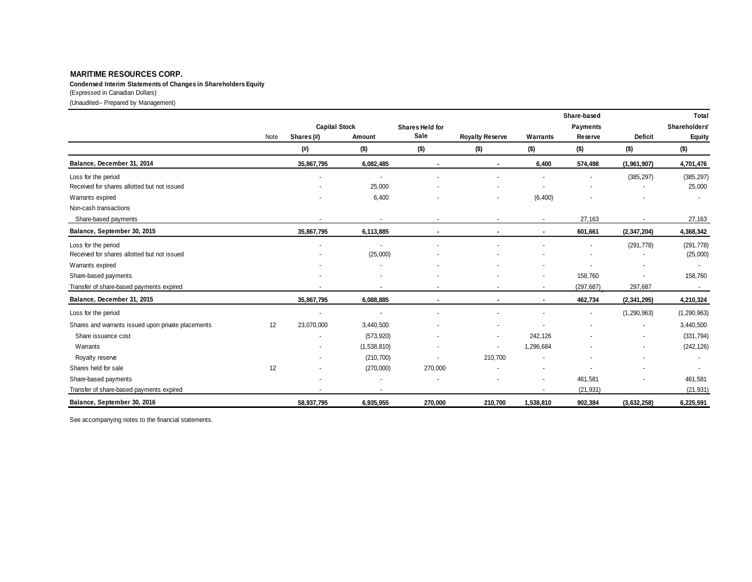**Condensed Interim Statements of Changes in Shareholders Equity**

(Expressed in Canadian Dollars)

(Unaudited-- Prepared by Management)

|                                                    |      |                      |                          |                 |                        |           | Share-based |                | Total         |
|----------------------------------------------------|------|----------------------|--------------------------|-----------------|------------------------|-----------|-------------|----------------|---------------|
|                                                    |      | <b>Capital Stock</b> |                          | Shares Held for |                        |           | Payments    |                | Shareholders' |
|                                                    | Note | Shares (#)           | Amount                   | Sale            | <b>Royalty Reserve</b> | Warrants  | Reserve     | <b>Deficit</b> | <b>Equity</b> |
|                                                    |      | (#)                  | $($ \$)                  | $($ \$)         | (\$)                   | $($ \$)   | $($ \$)     | $($ \$)        | $($ \$)       |
| Balance, December 31, 2014                         |      | 35,867,795           | 6,082,485                | $\blacksquare$  |                        | 6,400     | 574,498     | (1,961,907)    | 4,701,476     |
| Loss for the period                                |      |                      | $\overline{\phantom{a}}$ |                 |                        |           |             | (385, 297)     | (385, 297)    |
| Received for shares allotted but not issued        |      |                      | 25,000                   |                 |                        |           |             |                | 25,000        |
| Warrants expired                                   |      |                      | 6,400                    |                 |                        | (6, 400)  |             |                |               |
| Non-cash transactions                              |      |                      |                          |                 |                        |           |             |                |               |
| Share-based payments                               |      |                      | $\blacksquare$           |                 |                        |           | 27,163      |                | 27,163        |
| Balance, September 30, 2015                        |      | 35,867,795           | 6,113,885                |                 |                        |           | 601,661     | (2, 347, 204)  | 4,368,342     |
| Loss for the period                                |      |                      |                          |                 |                        |           |             | (291, 778)     | (291, 778)    |
| Received for shares allotted but not issued        |      |                      | (25,000)                 |                 |                        |           |             |                | (25,000)      |
| Warrants expired                                   |      |                      |                          |                 |                        |           |             |                |               |
| Share-based payments                               |      |                      |                          |                 |                        |           | 158,760     |                | 158,760       |
| Transfer of share-based payments expired           |      |                      |                          |                 |                        |           | (297, 687)  | 297,687        | $\sim$        |
| Balance, December 31, 2015                         |      | 35,867,795           | 6,088,885                |                 | $\blacksquare$         |           | 462,734     | (2, 341, 295)  | 4,210,324     |
| Loss for the period                                |      |                      |                          |                 |                        |           |             | (1, 290, 963)  | (1, 290, 963) |
| Shares and warrants issued upon private placements | 12   | 23,070,000           | 3,440,500                |                 |                        |           |             | ٠              | 3,440,500     |
| Share issuance cost                                |      |                      | (573, 920)               |                 |                        | 242,126   |             |                | (331, 794)    |
| Warrants                                           |      |                      | (1,538,810)              |                 |                        | 1,296,684 |             | $\blacksquare$ | (242, 126)    |
| Royalty reserve                                    |      |                      | (210, 700)               | $\sim$          | 210,700                |           |             | $\blacksquare$ |               |
| Shares held for sale                               | 12   |                      | (270,000)                | 270,000         |                        |           |             |                |               |
| Share-based payments                               |      |                      |                          |                 |                        |           | 461,581     |                | 461,581       |
| Transfer of share-based payments expired           |      |                      |                          |                 |                        |           | (21, 931)   |                | (21, 931)     |
| Balance, September 30, 2016                        |      | 58,937,795           | 6,935,955                | 270,000         | 210,700                | 1,538,810 | 902,384     | (3,632,258)    | 6,225,591     |

See accompanying notes to the financial statements.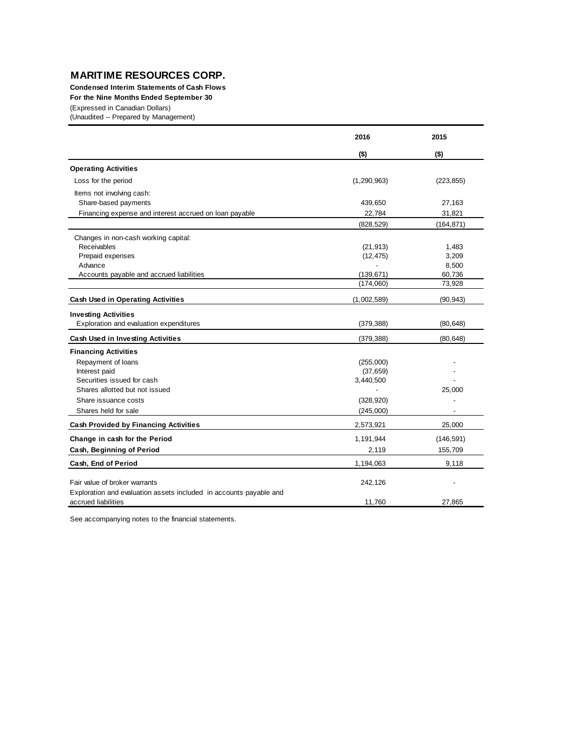**Condensed Interim Statements of Cash Flows**

**For the Nine Months Ended September 30**

(Expressed in Canadian Dollars)

(Unaudited -- Prepared by Management)

|                                                                    | 2016          | 2015       |
|--------------------------------------------------------------------|---------------|------------|
|                                                                    | $($ \$)       | $($ \$)    |
| <b>Operating Activities</b>                                        |               |            |
| Loss for the period                                                | (1, 290, 963) | (223, 855) |
| Items not involving cash:                                          |               |            |
| Share-based payments                                               | 439,650       | 27,163     |
| Financing expense and interest accrued on loan payable             | 22,784        | 31,821     |
|                                                                    | (828, 529)    | (164, 871) |
| Changes in non-cash working capital:                               |               |            |
| <b>Receivables</b>                                                 | (21, 913)     | 1,483      |
| Prepaid expenses                                                   | (12, 475)     | 3,209      |
| Advance                                                            |               | 8,500      |
| Accounts payable and accrued liabilities                           | (139, 671)    | 60,736     |
|                                                                    | (174,060)     | 73,928     |
| <b>Cash Used in Operating Activities</b>                           | (1,002,589)   | (90, 943)  |
| <b>Investing Activities</b>                                        |               |            |
| Exploration and evaluation expenditures                            | (379, 388)    | (80, 648)  |
| <b>Cash Used in Investing Activities</b>                           | (379, 388)    | (80, 648)  |
| <b>Financing Activities</b>                                        |               |            |
| Repayment of loans                                                 | (255,000)     |            |
| Interest paid                                                      | (37, 659)     |            |
| Securities issued for cash                                         | 3,440,500     |            |
| Shares allotted but not issued                                     |               | 25,000     |
| Share issuance costs                                               | (328, 920)    |            |
| Shares held for sale                                               | (245,000)     |            |
| <b>Cash Provided by Financing Activities</b>                       | 2,573,921     | 25,000     |
| Change in cash for the Period                                      | 1,191,944     | (146, 591) |
| Cash, Beginning of Period                                          | 2,119         | 155,709    |
| Cash, End of Period                                                | 1,194,063     | 9,118      |
| Fair value of broker warrants                                      | 242,126       |            |
| Exploration and evaluation assets included in accounts payable and |               |            |
| accrued liabilities                                                | 11,760        | 27.865     |

See accompanying notes to the financial statements.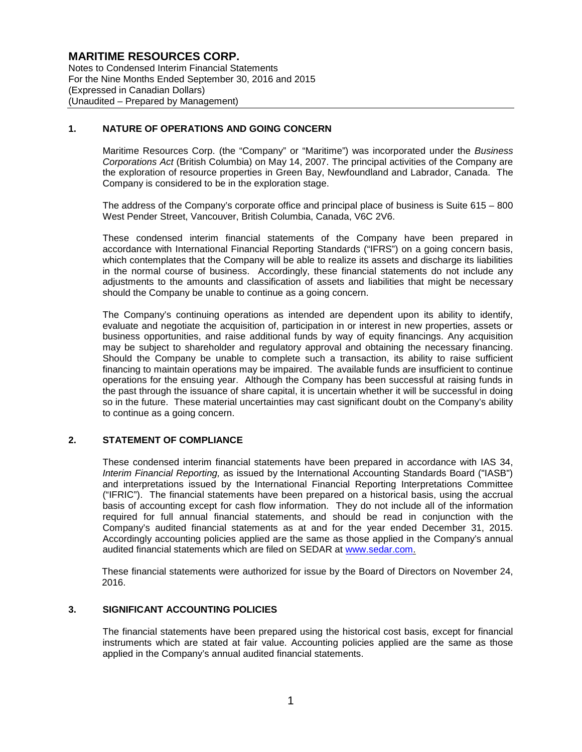Notes to Condensed Interim Financial Statements For the Nine Months Ended September 30, 2016 and 2015 (Expressed in Canadian Dollars) (Unaudited – Prepared by Management)

### **1. NATURE OF OPERATIONS AND GOING CONCERN**

Maritime Resources Corp. (the "Company" or "Maritime") was incorporated under the *Business Corporations Act* (British Columbia) on May 14, 2007. The principal activities of the Company are the exploration of resource properties in Green Bay, Newfoundland and Labrador, Canada. The Company is considered to be in the exploration stage.

The address of the Company's corporate office and principal place of business is Suite 615 – 800 West Pender Street, Vancouver, British Columbia, Canada, V6C 2V6.

These condensed interim financial statements of the Company have been prepared in accordance with International Financial Reporting Standards ("IFRS") on a going concern basis, which contemplates that the Company will be able to realize its assets and discharge its liabilities in the normal course of business. Accordingly, these financial statements do not include any adjustments to the amounts and classification of assets and liabilities that might be necessary should the Company be unable to continue as a going concern.

The Company's continuing operations as intended are dependent upon its ability to identify, evaluate and negotiate the acquisition of, participation in or interest in new properties, assets or business opportunities, and raise additional funds by way of equity financings. Any acquisition may be subject to shareholder and regulatory approval and obtaining the necessary financing. Should the Company be unable to complete such a transaction, its ability to raise sufficient financing to maintain operations may be impaired. The available funds are insufficient to continue operations for the ensuing year. Although the Company has been successful at raising funds in the past through the issuance of share capital, it is uncertain whether it will be successful in doing so in the future. These material uncertainties may cast significant doubt on the Company's ability to continue as a going concern.

### **2. STATEMENT OF COMPLIANCE**

These condensed interim financial statements have been prepared in accordance with IAS 34, *Interim Financial Reporting,* as issued by the International Accounting Standards Board ("IASB") and interpretations issued by the International Financial Reporting Interpretations Committee ("IFRIC"). The financial statements have been prepared on a historical basis, using the accrual basis of accounting except for cash flow information. They do not include all of the information required for full annual financial statements, and should be read in conjunction with the Company's audited financial statements as at and for the year ended December 31, 2015. Accordingly accounting policies applied are the same as those applied in the Company's annual audited financial statements which are filed on SEDAR at www.sedar.com.

These financial statements were authorized for issue by the Board of Directors on November 24, 2016.

#### **3. SIGNIFICANT ACCOUNTING POLICIES**

The financial statements have been prepared using the historical cost basis, except for financial instruments which are stated at fair value. Accounting policies applied are the same as those applied in the Company's annual audited financial statements.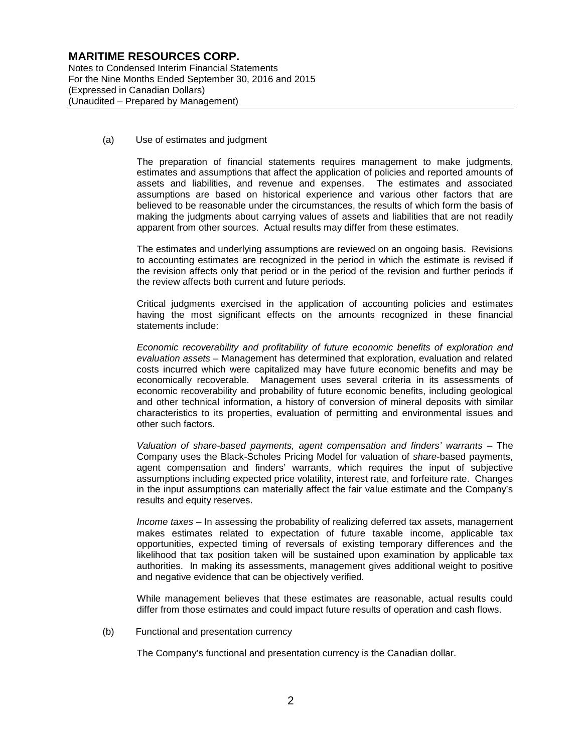Notes to Condensed Interim Financial Statements For the Nine Months Ended September 30, 2016 and 2015 (Expressed in Canadian Dollars) (Unaudited – Prepared by Management)

(a) Use of estimates and judgment

The preparation of financial statements requires management to make judgments, estimates and assumptions that affect the application of policies and reported amounts of assets and liabilities, and revenue and expenses. The estimates and associated assumptions are based on historical experience and various other factors that are believed to be reasonable under the circumstances, the results of which form the basis of making the judgments about carrying values of assets and liabilities that are not readily apparent from other sources. Actual results may differ from these estimates.

The estimates and underlying assumptions are reviewed on an ongoing basis. Revisions to accounting estimates are recognized in the period in which the estimate is revised if the revision affects only that period or in the period of the revision and further periods if the review affects both current and future periods.

Critical judgments exercised in the application of accounting policies and estimates having the most significant effects on the amounts recognized in these financial statements include:

*Economic recoverability and profitability of future economic benefits of exploration and evaluation assets* – Management has determined that exploration, evaluation and related costs incurred which were capitalized may have future economic benefits and may be economically recoverable. Management uses several criteria in its assessments of economic recoverability and probability of future economic benefits, including geological and other technical information, a history of conversion of mineral deposits with similar characteristics to its properties, evaluation of permitting and environmental issues and other such factors.

*Valuation of share-based payments, agent compensation and finders' warrants* – The Company uses the Black-Scholes Pricing Model for valuation of *share*-based payments, agent compensation and finders' warrants, which requires the input of subjective assumptions including expected price volatility, interest rate, and forfeiture rate. Changes in the input assumptions can materially affect the fair value estimate and the Company's results and equity reserves.

*Income taxes* – In assessing the probability of realizing deferred tax assets, management makes estimates related to expectation of future taxable income, applicable tax opportunities, expected timing of reversals of existing temporary differences and the likelihood that tax position taken will be sustained upon examination by applicable tax authorities. In making its assessments, management gives additional weight to positive and negative evidence that can be objectively verified.

While management believes that these estimates are reasonable, actual results could differ from those estimates and could impact future results of operation and cash flows.

(b) Functional and presentation currency

The Company's functional and presentation currency is the Canadian dollar.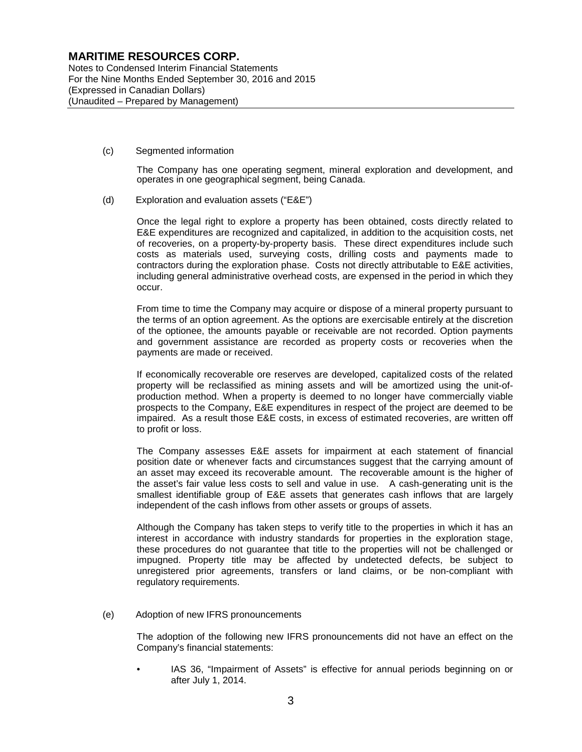Notes to Condensed Interim Financial Statements For the Nine Months Ended September 30, 2016 and 2015 (Expressed in Canadian Dollars) (Unaudited – Prepared by Management)

(c) Segmented information

The Company has one operating segment, mineral exploration and development, and operates in one geographical segment, being Canada.

(d) Exploration and evaluation assets ("E&E")

Once the legal right to explore a property has been obtained, costs directly related to E&E expenditures are recognized and capitalized, in addition to the acquisition costs, net of recoveries, on a property-by-property basis. These direct expenditures include such costs as materials used, surveying costs, drilling costs and payments made to contractors during the exploration phase. Costs not directly attributable to E&E activities, including general administrative overhead costs, are expensed in the period in which they occur.

From time to time the Company may acquire or dispose of a mineral property pursuant to the terms of an option agreement. As the options are exercisable entirely at the discretion of the optionee, the amounts payable or receivable are not recorded. Option payments and government assistance are recorded as property costs or recoveries when the payments are made or received.

If economically recoverable ore reserves are developed, capitalized costs of the related property will be reclassified as mining assets and will be amortized using the unit-ofproduction method. When a property is deemed to no longer have commercially viable prospects to the Company, E&E expenditures in respect of the project are deemed to be impaired. As a result those E&E costs, in excess of estimated recoveries, are written off to profit or loss.

The Company assesses E&E assets for impairment at each statement of financial position date or whenever facts and circumstances suggest that the carrying amount of an asset may exceed its recoverable amount. The recoverable amount is the higher of the asset's fair value less costs to sell and value in use. A cash-generating unit is the smallest identifiable group of E&E assets that generates cash inflows that are largely independent of the cash inflows from other assets or groups of assets.

Although the Company has taken steps to verify title to the properties in which it has an interest in accordance with industry standards for properties in the exploration stage, these procedures do not guarantee that title to the properties will not be challenged or impugned. Property title may be affected by undetected defects, be subject to unregistered prior agreements, transfers or land claims, or be non-compliant with regulatory requirements.

(e) Adoption of new IFRS pronouncements

The adoption of the following new IFRS pronouncements did not have an effect on the Company's financial statements:

• IAS 36, "Impairment of Assets" is effective for annual periods beginning on or after July 1, 2014.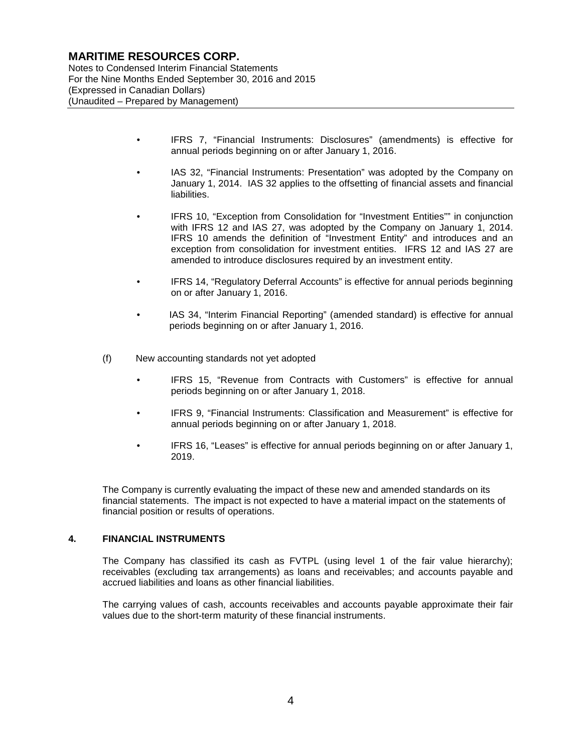Notes to Condensed Interim Financial Statements For the Nine Months Ended September 30, 2016 and 2015 (Expressed in Canadian Dollars) (Unaudited – Prepared by Management)

- IFRS 7, "Financial Instruments: Disclosures" (amendments) is effective for annual periods beginning on or after January 1, 2016.
- IAS 32, "Financial Instruments: Presentation" was adopted by the Company on January 1, 2014. IAS 32 applies to the offsetting of financial assets and financial liabilities.
- IFRS 10, "Exception from Consolidation for "Investment Entities"" in conjunction with IFRS 12 and IAS 27, was adopted by the Company on January 1, 2014. IFRS 10 amends the definition of "Investment Entity" and introduces and an exception from consolidation for investment entities. IFRS 12 and IAS 27 are amended to introduce disclosures required by an investment entity.
- IFRS 14, "Regulatory Deferral Accounts" is effective for annual periods beginning on or after January 1, 2016.
- IAS 34, "Interim Financial Reporting" (amended standard) is effective for annual periods beginning on or after January 1, 2016.
- (f) New accounting standards not yet adopted
	- IFRS 15, "Revenue from Contracts with Customers" is effective for annual periods beginning on or after January 1, 2018.
	- IFRS 9, "Financial Instruments: Classification and Measurement" is effective for annual periods beginning on or after January 1, 2018.
	- IFRS 16, "Leases" is effective for annual periods beginning on or after January 1, 2019.

The Company is currently evaluating the impact of these new and amended standards on its financial statements. The impact is not expected to have a material impact on the statements of financial position or results of operations.

#### **4. FINANCIAL INSTRUMENTS**

The Company has classified its cash as FVTPL (using level 1 of the fair value hierarchy); receivables (excluding tax arrangements) as loans and receivables; and accounts payable and accrued liabilities and loans as other financial liabilities.

The carrying values of cash, accounts receivables and accounts payable approximate their fair values due to the short-term maturity of these financial instruments.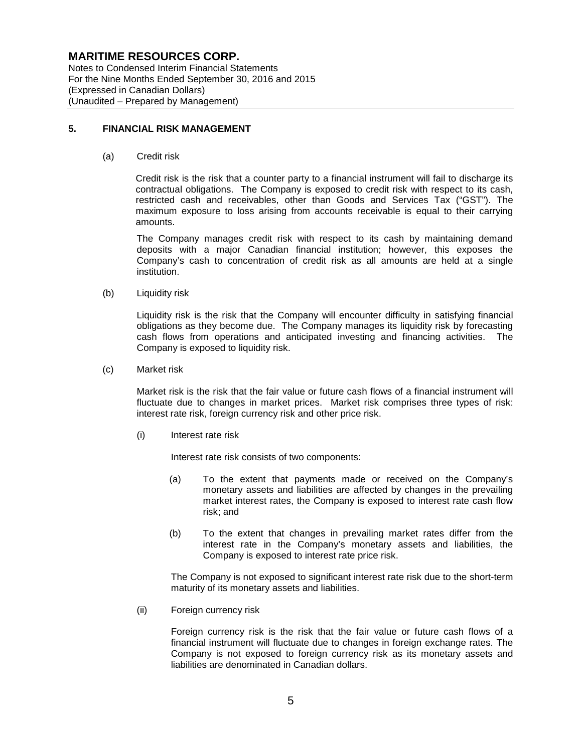Notes to Condensed Interim Financial Statements For the Nine Months Ended September 30, 2016 and 2015 (Expressed in Canadian Dollars) (Unaudited – Prepared by Management)

### **5. FINANCIAL RISK MANAGEMENT**

(a) Credit risk

Credit risk is the risk that a counter party to a financial instrument will fail to discharge its contractual obligations. The Company is exposed to credit risk with respect to its cash, restricted cash and receivables, other than Goods and Services Tax ("GST"). The maximum exposure to loss arising from accounts receivable is equal to their carrying amounts.

The Company manages credit risk with respect to its cash by maintaining demand deposits with a major Canadian financial institution; however, this exposes the Company's cash to concentration of credit risk as all amounts are held at a single institution.

(b) Liquidity risk

Liquidity risk is the risk that the Company will encounter difficulty in satisfying financial obligations as they become due. The Company manages its liquidity risk by forecasting cash flows from operations and anticipated investing and financing activities. The Company is exposed to liquidity risk.

(c) Market risk

Market risk is the risk that the fair value or future cash flows of a financial instrument will fluctuate due to changes in market prices. Market risk comprises three types of risk: interest rate risk, foreign currency risk and other price risk.

(i) Interest rate risk

Interest rate risk consists of two components:

- (a) To the extent that payments made or received on the Company's monetary assets and liabilities are affected by changes in the prevailing market interest rates, the Company is exposed to interest rate cash flow risk; and
- (b) To the extent that changes in prevailing market rates differ from the interest rate in the Company's monetary assets and liabilities, the Company is exposed to interest rate price risk.

The Company is not exposed to significant interest rate risk due to the short-term maturity of its monetary assets and liabilities.

(ii) Foreign currency risk

Foreign currency risk is the risk that the fair value or future cash flows of a financial instrument will fluctuate due to changes in foreign exchange rates. The Company is not exposed to foreign currency risk as its monetary assets and liabilities are denominated in Canadian dollars.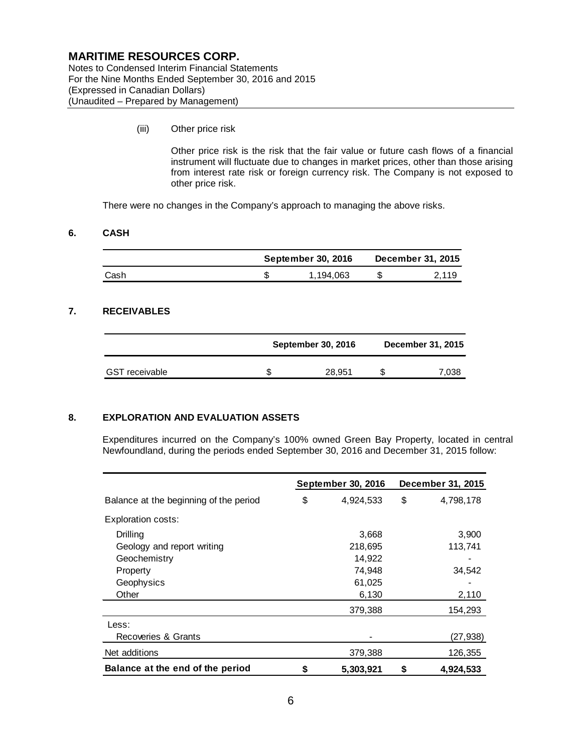Notes to Condensed Interim Financial Statements For the Nine Months Ended September 30, 2016 and 2015 (Expressed in Canadian Dollars) (Unaudited – Prepared by Management)

(iii) Other price risk

Other price risk is the risk that the fair value or future cash flows of a financial instrument will fluctuate due to changes in market prices, other than those arising from interest rate risk or foreign currency risk. The Company is not exposed to other price risk.

There were no changes in the Company's approach to managing the above risks.

### **6. CASH**

|      | <b>September 30, 2016</b> | December 31, 2015 |       |
|------|---------------------------|-------------------|-------|
| Cash | 1.194.063                 |                   | 2.119 |

### **7. RECEIVABLES**

|                       |   | <b>September 30, 2016</b> | December 31, 2015 |       |  |
|-----------------------|---|---------------------------|-------------------|-------|--|
| <b>GST</b> receivable | S | 28,951                    |                   | 7,038 |  |

#### **8. EXPLORATION AND EVALUATION ASSETS**

Expenditures incurred on the Company's 100% owned Green Bay Property, located in central Newfoundland, during the periods ended September 30, 2016 and December 31, 2015 follow:

|                                        |    | September 30, 2016 |    | December 31, 2015 |
|----------------------------------------|----|--------------------|----|-------------------|
| Balance at the beginning of the period | \$ | 4,924,533          | \$ | 4,798,178         |
| Exploration costs:                     |    |                    |    |                   |
| Drilling                               |    | 3,668              |    | 3,900             |
| Geology and report writing             |    | 218,695            |    | 113,741           |
| Geochemistry                           |    | 14,922             |    |                   |
| Property                               |    | 74,948             |    | 34,542            |
| Geophysics                             |    | 61,025             |    |                   |
| Other                                  |    | 6,130              |    | 2,110             |
|                                        |    | 379,388            |    | 154,293           |
| Less:                                  |    |                    |    |                   |
| Recoveries & Grants                    |    |                    |    | (27,938)          |
| Net additions                          |    | 379,388            |    | 126,355           |
| Balance at the end of the period       | S  | 5,303,921          | S  | 4,924,533         |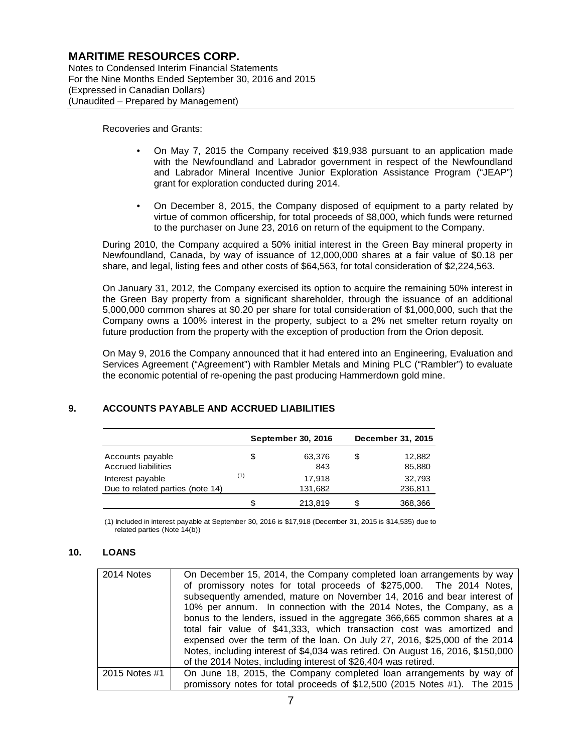Notes to Condensed Interim Financial Statements For the Nine Months Ended September 30, 2016 and 2015 (Expressed in Canadian Dollars) (Unaudited – Prepared by Management)

Recoveries and Grants:

- On May 7, 2015 the Company received \$19,938 pursuant to an application made with the Newfoundland and Labrador government in respect of the Newfoundland and Labrador Mineral Incentive Junior Exploration Assistance Program ("JEAP") grant for exploration conducted during 2014.
- On December 8, 2015, the Company disposed of equipment to a party related by virtue of common officership, for total proceeds of \$8,000, which funds were returned to the purchaser on June 23, 2016 on return of the equipment to the Company.

During 2010, the Company acquired a 50% initial interest in the Green Bay mineral property in Newfoundland, Canada, by way of issuance of 12,000,000 shares at a fair value of \$0.18 per share, and legal, listing fees and other costs of \$64,563, for total consideration of \$2,224,563.

On January 31, 2012, the Company exercised its option to acquire the remaining 50% interest in the Green Bay property from a significant shareholder, through the issuance of an additional 5,000,000 common shares at \$0.20 per share for total consideration of \$1,000,000, such that the Company owns a 100% interest in the property, subject to a 2% net smelter return royalty on future production from the property with the exception of production from the Orion deposit.

On May 9, 2016 the Company announced that it had entered into an Engineering, Evaluation and Services Agreement ("Agreement") with Rambler Metals and Mining PLC ("Rambler") to evaluate the economic potential of re-opening the past producing Hammerdown gold mine.

### **9. ACCOUNTS PAYABLE AND ACCRUED LIABILITIES**

|                                                |     | September 30, 2016 |   | December 31, 2015  |  |
|------------------------------------------------|-----|--------------------|---|--------------------|--|
| Accounts payable<br><b>Accrued liabilities</b> | S   | 63,376<br>843      | S | 12,882<br>85,880   |  |
| Interest payable                               | (1) | 17,918<br>131,682  |   | 32,793             |  |
| Due to related parties (note 14)               |     | 213,819            |   | 236,811<br>368,366 |  |

(1) Included in interest payable at September 30, 2016 is \$17,918 (December 31, 2015 is \$14,535) due to related parties (Note 14(b))

#### **10. LOANS**

| 2014 Notes    | On December 15, 2014, the Company completed loan arrangements by way<br>of promissory notes for total proceeds of \$275,000. The 2014 Notes,<br>subsequently amended, mature on November 14, 2016 and bear interest of<br>10% per annum. In connection with the 2014 Notes, the Company, as a<br>bonus to the lenders, issued in the aggregate 366,665 common shares at a<br>total fair value of \$41,333, which transaction cost was amortized and<br>expensed over the term of the loan. On July 27, 2016, \$25,000 of the 2014<br>Notes, including interest of \$4,034 was retired. On August 16, 2016, \$150,000<br>of the 2014 Notes, including interest of \$26,404 was retired. |
|---------------|----------------------------------------------------------------------------------------------------------------------------------------------------------------------------------------------------------------------------------------------------------------------------------------------------------------------------------------------------------------------------------------------------------------------------------------------------------------------------------------------------------------------------------------------------------------------------------------------------------------------------------------------------------------------------------------|
| 2015 Notes #1 | On June 18, 2015, the Company completed loan arrangements by way of<br>promissory notes for total proceeds of \$12,500 (2015 Notes #1). The 2015                                                                                                                                                                                                                                                                                                                                                                                                                                                                                                                                       |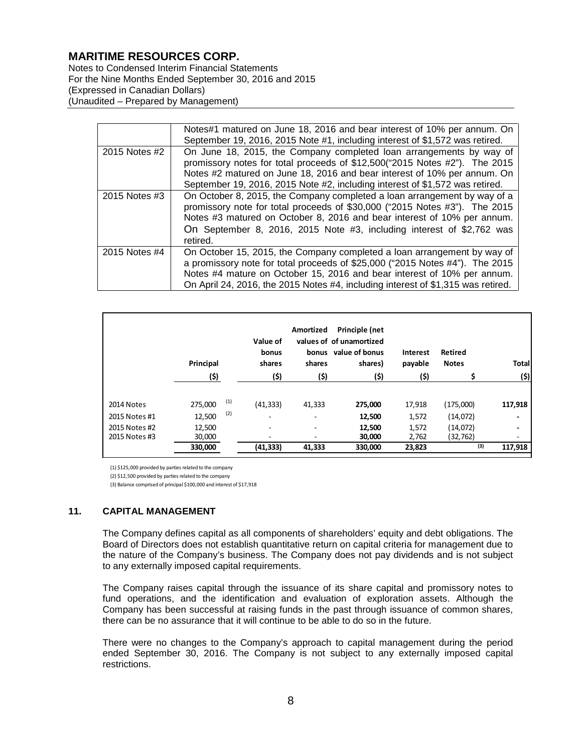Notes to Condensed Interim Financial Statements For the Nine Months Ended September 30, 2016 and 2015 (Expressed in Canadian Dollars) (Unaudited – Prepared by Management)

|               | Notes#1 matured on June 18, 2016 and bear interest of 10% per annum. On          |
|---------------|----------------------------------------------------------------------------------|
|               |                                                                                  |
|               | September 19, 2016, 2015 Note #1, including interest of \$1,572 was retired.     |
| 2015 Notes #2 | On June 18, 2015, the Company completed loan arrangements by way of              |
|               | promissory notes for total proceeds of \$12,500("2015 Notes #2"). The 2015       |
|               | Notes #2 matured on June 18, 2016 and bear interest of 10% per annum. On         |
|               | September 19, 2016, 2015 Note #2, including interest of \$1,572 was retired.     |
| 2015 Notes #3 | On October 8, 2015, the Company completed a loan arrangement by way of a         |
|               | promissory note for total proceeds of \$30,000 ("2015 Notes #3"). The 2015       |
|               | Notes #3 matured on October 8, 2016 and bear interest of 10% per annum.          |
|               | On September 8, 2016, 2015 Note #3, including interest of \$2,762 was            |
|               | retired.                                                                         |
| 2015 Notes #4 | On October 15, 2015, the Company completed a loan arrangement by way of          |
|               | a promissory note for total proceeds of \$25,000 ("2015 Notes #4"). The 2015     |
|               | Notes #4 mature on October 15, 2016 and bear interest of 10% per annum.          |
|               | On April 24, 2016, the 2015 Notes #4, including interest of \$1,315 was retired. |

|               | Principal<br>(\$) |     | Value of<br>bonus<br>shares<br>(\$) | Amortized<br>shares<br>(\$) | Principle (net<br>values of of unamortized<br>bonus value of bonus<br>shares)<br>(\$) | Interest<br>payable<br>(\$) | Retired<br><b>Notes</b> | <b>Total</b><br>(\$)     |
|---------------|-------------------|-----|-------------------------------------|-----------------------------|---------------------------------------------------------------------------------------|-----------------------------|-------------------------|--------------------------|
| 2014 Notes    | 275,000           | (1) | (41, 333)                           | 41,333                      | 275,000                                                                               | 17,918                      | (175,000)               | 117,918                  |
| 2015 Notes #1 | 12,500            | (2) | $\overline{\phantom{a}}$            | ٠                           | 12,500                                                                                | 1,572                       | (14,072)                | ٠                        |
| 2015 Notes #2 | 12,500            |     | ٠                                   | ٠                           | 12,500                                                                                | 1,572                       | (14,072)                | ٠                        |
| 2015 Notes #3 | 30,000            |     | ٠                                   |                             | 30,000                                                                                | 2,762                       | (32, 762)               | $\overline{\phantom{a}}$ |
|               | 330,000           |     | (41,333)                            | 41,333                      | 330,000                                                                               | 23,823                      | (3)                     | 117,918                  |

(1) \$125,000 provided by parties related to the company

(2) \$12,500 provided by parties related to the company

(3) Balance comprised of principal \$100,000 and interest of \$17,918

#### **11. CAPITAL MANAGEMENT**

The Company defines capital as all components of shareholders' equity and debt obligations. The Board of Directors does not establish quantitative return on capital criteria for management due to the nature of the Company's business. The Company does not pay dividends and is not subject to any externally imposed capital requirements.

The Company raises capital through the issuance of its share capital and promissory notes to fund operations, and the identification and evaluation of exploration assets. Although the Company has been successful at raising funds in the past through issuance of common shares, there can be no assurance that it will continue to be able to do so in the future.

There were no changes to the Company's approach to capital management during the period ended September 30, 2016. The Company is not subject to any externally imposed capital restrictions.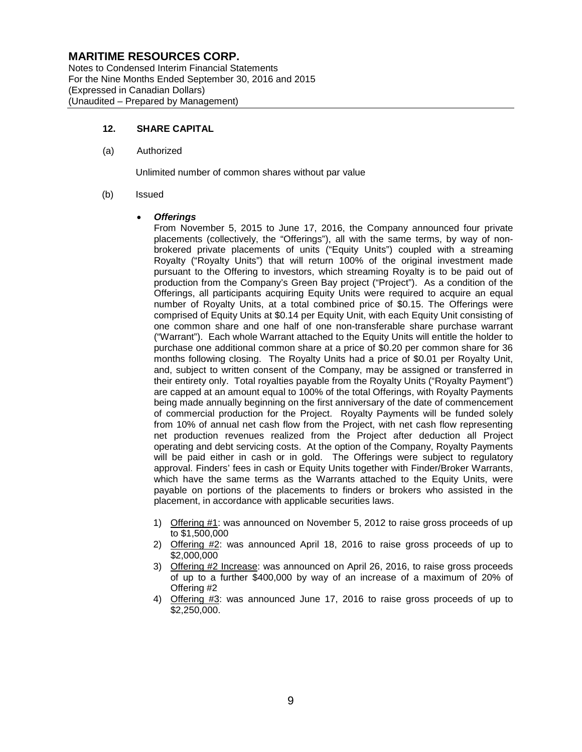Notes to Condensed Interim Financial Statements For the Nine Months Ended September 30, 2016 and 2015 (Expressed in Canadian Dollars) (Unaudited – Prepared by Management)

#### **12. SHARE CAPITAL**

(a) Authorized

Unlimited number of common shares without par value

#### (b) Issued

#### • *Offerings*

From November 5, 2015 to June 17, 2016, the Company announced four private placements (collectively, the "Offerings"), all with the same terms, by way of nonbrokered private placements of units ("Equity Units") coupled with a streaming Royalty ("Royalty Units") that will return 100% of the original investment made pursuant to the Offering to investors, which streaming Royalty is to be paid out of production from the Company's Green Bay project ("Project"). As a condition of the Offerings, all participants acquiring Equity Units were required to acquire an equal number of Royalty Units, at a total combined price of \$0.15. The Offerings were comprised of Equity Units at \$0.14 per Equity Unit, with each Equity Unit consisting of one common share and one half of one non-transferable share purchase warrant ("Warrant"). Each whole Warrant attached to the Equity Units will entitle the holder to purchase one additional common share at a price of \$0.20 per common share for 36 months following closing. The Royalty Units had a price of \$0.01 per Royalty Unit, and, subject to written consent of the Company, may be assigned or transferred in their entirety only. Total royalties payable from the Royalty Units ("Royalty Payment") are capped at an amount equal to 100% of the total Offerings, with Royalty Payments being made annually beginning on the first anniversary of the date of commencement of commercial production for the Project. Royalty Payments will be funded solely from 10% of annual net cash flow from the Project, with net cash flow representing net production revenues realized from the Project after deduction all Project operating and debt servicing costs. At the option of the Company, Royalty Payments will be paid either in cash or in gold. The Offerings were subject to regulatory approval. Finders' fees in cash or Equity Units together with Finder/Broker Warrants, which have the same terms as the Warrants attached to the Equity Units, were payable on portions of the placements to finders or brokers who assisted in the placement, in accordance with applicable securities laws.

- 1) Offering #1: was announced on November 5, 2012 to raise gross proceeds of up to \$1,500,000
- 2) Offering #2: was announced April 18, 2016 to raise gross proceeds of up to \$2,000,000
- 3) Offering #2 Increase: was announced on April 26, 2016, to raise gross proceeds of up to a further \$400,000 by way of an increase of a maximum of 20% of Offering #2
- 4) Offering #3: was announced June 17, 2016 to raise gross proceeds of up to \$2,250,000.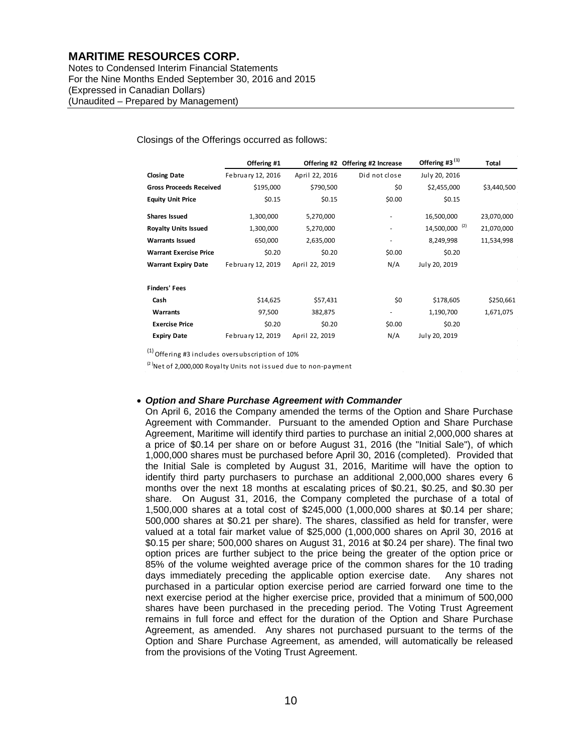Notes to Condensed Interim Financial Statements For the Nine Months Ended September 30, 2016 and 2015 (Expressed in Canadian Dollars) (Unaudited – Prepared by Management)

#### Closings of the Offerings occurred as follows:

|                                | Offering #1       |                | Offering #2 Offering #2 Increase | Offering #3 <sup>(1)</sup> | Total       |
|--------------------------------|-------------------|----------------|----------------------------------|----------------------------|-------------|
| <b>Closing Date</b>            | February 12, 2016 | April 22, 2016 | Did not close                    | July 20, 2016              |             |
| <b>Gross Proceeds Received</b> | \$195,000         | \$790,500      | \$0                              | \$2,455,000                | \$3,440,500 |
| <b>Equity Unit Price</b>       | \$0.15            | \$0.15         | \$0.00                           | \$0.15                     |             |
| <b>Shares Issued</b>           | 1,300,000         | 5,270,000      | ٠                                | 16,500,000                 | 23,070,000  |
| <b>Royalty Units Issued</b>    | 1,300,000         | 5,270,000      | ٠                                | 14,500,000 <sup>(2)</sup>  | 21,070,000  |
| <b>Warrants Issued</b>         | 650,000           | 2,635,000      | $\overline{\phantom{a}}$         | 8,249,998                  | 11,534,998  |
| <b>Warrant Exercise Price</b>  | \$0.20            | \$0.20         | \$0.00                           | \$0.20                     |             |
| <b>Warrant Expiry Date</b>     | February 12, 2019 | April 22, 2019 | N/A                              | July 20, 2019              |             |
| <b>Finders' Fees</b>           |                   |                |                                  |                            |             |
| Cash                           | \$14,625          | \$57,431       | \$0                              | \$178,605                  | \$250,661   |
| Warrants                       | 97,500            | 382,875        |                                  | 1,190,700                  | 1,671,075   |
| <b>Exercise Price</b>          | \$0.20            | \$0.20         | \$0.00                           | \$0.20                     |             |
| <b>Expiry Date</b>             | February 12, 2019 | April 22, 2019 | N/A                              | July 20, 2019              |             |

(1) Offering #3 includes oversubscription of 10%

 $(2)$ Net of 2,000,000 Royalty Units not issued due to non-payment

#### • *Option and Share Purchase Agreement with Commander*

On April 6, 2016 the Company amended the terms of the Option and Share Purchase Agreement with Commander. Pursuant to the amended Option and Share Purchase Agreement, Maritime will identify third parties to purchase an initial 2,000,000 shares at a price of \$0.14 per share on or before August 31, 2016 (the "Initial Sale"), of which 1,000,000 shares must be purchased before April 30, 2016 (completed). Provided that the Initial Sale is completed by August 31, 2016, Maritime will have the option to identify third party purchasers to purchase an additional 2,000,000 shares every 6 months over the next 18 months at escalating prices of \$0.21, \$0.25, and \$0.30 per share. On August 31, 2016, the Company completed the purchase of a total of 1,500,000 shares at a total cost of \$245,000 (1,000,000 shares at \$0.14 per share; 500,000 shares at \$0.21 per share). The shares, classified as held for transfer, were valued at a total fair market value of \$25,000 (1,000,000 shares on April 30, 2016 at \$0.15 per share; 500,000 shares on August 31, 2016 at \$0.24 per share). The final two option prices are further subject to the price being the greater of the option price or 85% of the volume weighted average price of the common shares for the 10 trading days immediately preceding the applicable option exercise date. Any shares not purchased in a particular option exercise period are carried forward one time to the next exercise period at the higher exercise price, provided that a minimum of 500,000 shares have been purchased in the preceding period. The Voting Trust Agreement remains in full force and effect for the duration of the Option and Share Purchase Agreement, as amended. Any shares not purchased pursuant to the terms of the Option and Share Purchase Agreement, as amended, will automatically be released from the provisions of the Voting Trust Agreement.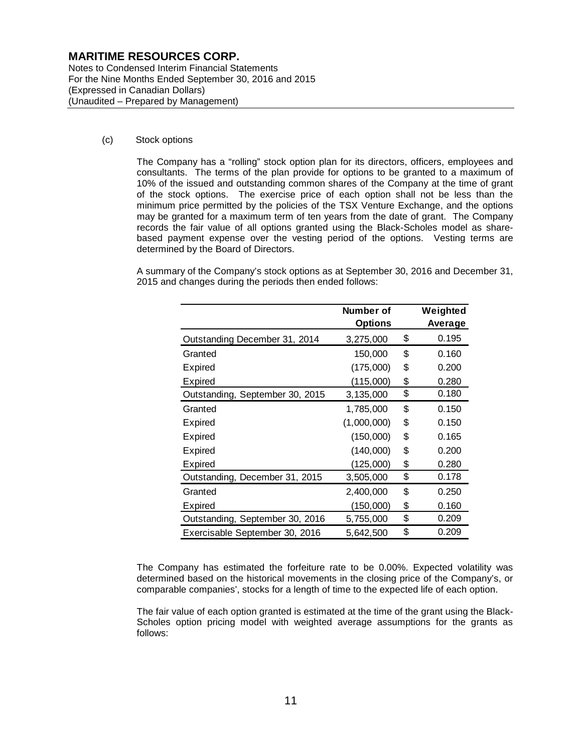Notes to Condensed Interim Financial Statements For the Nine Months Ended September 30, 2016 and 2015 (Expressed in Canadian Dollars) (Unaudited – Prepared by Management)

#### (c) Stock options

The Company has a "rolling" stock option plan for its directors, officers, employees and consultants. The terms of the plan provide for options to be granted to a maximum of 10% of the issued and outstanding common shares of the Company at the time of grant of the stock options. The exercise price of each option shall not be less than the minimum price permitted by the policies of the TSX Venture Exchange, and the options may be granted for a maximum term of ten years from the date of grant. The Company records the fair value of all options granted using the Black-Scholes model as sharebased payment expense over the vesting period of the options. Vesting terms are determined by the Board of Directors.

A summary of the Company's stock options as at September 30, 2016 and December 31, 2015 and changes during the periods then ended follows:

|                                 | Number of      | Weighted    |
|---------------------------------|----------------|-------------|
|                                 | <b>Options</b> | Average     |
| Outstanding December 31, 2014   | 3,275,000      | \$<br>0.195 |
| Granted                         | 150,000        | \$<br>0.160 |
| Expired                         | (175,000)      | \$<br>0.200 |
| Expired                         | (115,000)      | \$<br>0.280 |
| Outstanding, September 30, 2015 | 3,135,000      | \$<br>0.180 |
| Granted                         | 1,785,000      | \$<br>0.150 |
| Expired                         | (1,000,000)    | \$<br>0.150 |
| Expired                         | (150,000)      | \$<br>0.165 |
| Expired                         | (140,000)      | \$<br>0.200 |
| Expired                         | (125,000)      | \$<br>0.280 |
| Outstanding, December 31, 2015  | 3,505,000      | \$<br>0.178 |
| Granted                         | 2,400,000      | \$<br>0.250 |
| Expired                         | (150,000)      | \$<br>0.160 |
| Outstanding, September 30, 2016 | 5,755,000      | \$<br>0.209 |
| Exercisable September 30, 2016  | 5,642,500      | \$<br>0.209 |

The Company has estimated the forfeiture rate to be 0.00%. Expected volatility was determined based on the historical movements in the closing price of the Company's, or comparable companies', stocks for a length of time to the expected life of each option.

The fair value of each option granted is estimated at the time of the grant using the Black-Scholes option pricing model with weighted average assumptions for the grants as follows: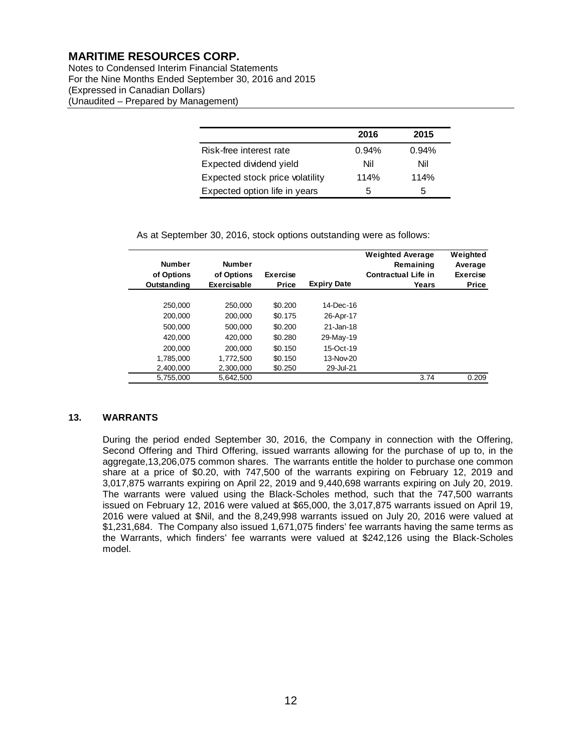Notes to Condensed Interim Financial Statements For the Nine Months Ended September 30, 2016 and 2015 (Expressed in Canadian Dollars) (Unaudited – Prepared by Management)

|                                 | 2016  | 2015  |
|---------------------------------|-------|-------|
| Risk-free interest rate         | 0.94% | 0.94% |
| Expected dividend yield         | Nil   | Nil   |
| Expected stock price volatility | 114%  | 114%  |
| Expected option life in years   | 5     | 5     |

As at September 30, 2016, stock options outstanding were as follows:

| <b>Number</b><br>of Options<br>Outstanding | <b>Number</b><br>of Options<br>Exercisable | <b>Exercise</b><br><b>Price</b> | <b>Expiry Date</b> | <b>Weighted Average</b><br>Remaining<br><b>Contractual Life in</b><br>Years | Weighted<br>Average<br><b>Exercise</b><br><b>Price</b> |
|--------------------------------------------|--------------------------------------------|---------------------------------|--------------------|-----------------------------------------------------------------------------|--------------------------------------------------------|
|                                            |                                            |                                 |                    |                                                                             |                                                        |
| 250,000                                    | 250,000                                    | \$0.200                         | 14-Dec-16          |                                                                             |                                                        |
| 200,000                                    | 200,000                                    | \$0.175                         | 26-Apr-17          |                                                                             |                                                        |
| 500.000                                    | 500.000                                    | \$0.200                         | 21-Jan-18          |                                                                             |                                                        |
| 420,000                                    | 420,000                                    | \$0.280                         | 29-May-19          |                                                                             |                                                        |
| 200,000                                    | 200,000                                    | \$0.150                         | 15-Oct-19          |                                                                             |                                                        |
| 1.785.000                                  | 1,772,500                                  | \$0.150                         | 13-Nov-20          |                                                                             |                                                        |
| 2.400.000                                  | 2.300.000                                  | \$0.250                         | 29-Jul-21          |                                                                             |                                                        |
| 5.755.000                                  | 5.642.500                                  |                                 |                    | 3.74                                                                        | 0.209                                                  |

### **13. WARRANTS**

During the period ended September 30, 2016, the Company in connection with the Offering, Second Offering and Third Offering, issued warrants allowing for the purchase of up to, in the aggregate,13,206,075 common shares. The warrants entitle the holder to purchase one common share at a price of \$0.20, with 747,500 of the warrants expiring on February 12, 2019 and 3,017,875 warrants expiring on April 22, 2019 and 9,440,698 warrants expiring on July 20, 2019. The warrants were valued using the Black-Scholes method, such that the 747,500 warrants issued on February 12, 2016 were valued at \$65,000, the 3,017,875 warrants issued on April 19, 2016 were valued at \$Nil, and the 8,249,998 warrants issued on July 20, 2016 were valued at \$1,231,684. The Company also issued 1,671,075 finders' fee warrants having the same terms as the Warrants, which finders' fee warrants were valued at \$242,126 using the Black-Scholes model.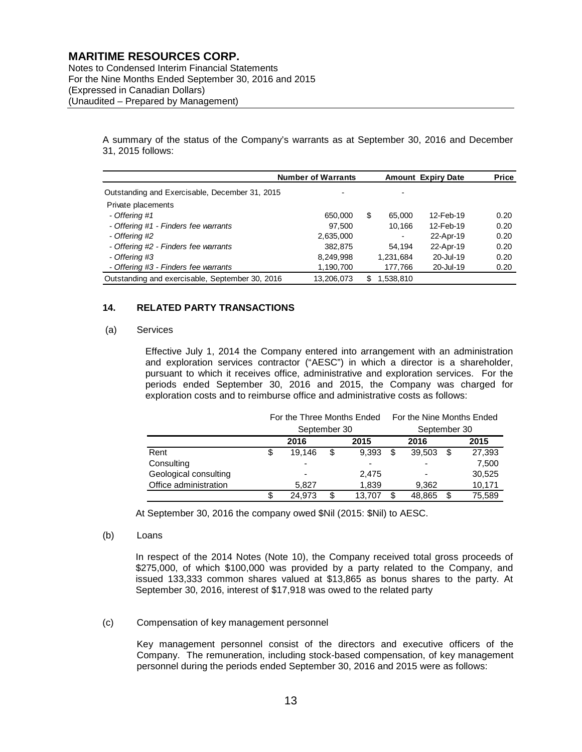Notes to Condensed Interim Financial Statements For the Nine Months Ended September 30, 2016 and 2015 (Expressed in Canadian Dollars) (Unaudited – Prepared by Management)

> A summary of the status of the Company's warrants as at September 30, 2016 and December 31, 2015 follows:

|                                                 | <b>Number of Warrants</b> |    | <b>Amount Expiry Date</b> | <b>Price</b> |      |
|-------------------------------------------------|---------------------------|----|---------------------------|--------------|------|
| Outstanding and Exercisable, December 31, 2015  |                           |    |                           |              |      |
| Private placements                              |                           |    |                           |              |      |
| - Offering #1                                   | 650,000                   | \$ | 65.000                    | 12-Feb-19    | 0.20 |
| - Offering #1 - Finders fee warrants            | 97.500                    |    | 10.166                    | 12-Feb-19    | 0.20 |
| - Offering #2                                   | 2,635,000                 |    | ٠                         | 22-Apr-19    | 0.20 |
| - Offering #2 - Finders fee warrants            | 382.875                   |    | 54.194                    | 22-Apr-19    | 0.20 |
| - Offering #3                                   | 8,249,998                 |    | 1,231,684                 | 20-Jul-19    | 0.20 |
| - Offering #3 - Finders fee warrants            | 1,190,700                 |    | 177,766                   | 20-Jul-19    | 0.20 |
| Outstanding and exercisable, September 30, 2016 | 13,206,073                | S. | 1,538,810                 |              |      |

### **14. RELATED PARTY TRANSACTIONS**

#### (a) Services

Effective July 1, 2014 the Company entered into arrangement with an administration and exploration services contractor ("AESC") in which a director is a shareholder, pursuant to which it receives office, administrative and exploration services. For the periods ended September 30, 2016 and 2015, the Company was charged for exploration costs and to reimburse office and administrative costs as follows:

|                       | For the Three Months Ended |                          |   |        | For the Nine Months Ended |                          |      |        |
|-----------------------|----------------------------|--------------------------|---|--------|---------------------------|--------------------------|------|--------|
|                       |                            | September 30             |   |        |                           | September 30             |      |        |
|                       |                            | 2016                     |   | 2015   |                           | 2016                     | 2015 |        |
| Rent                  | \$                         | 19.146                   | S | 9.393  | S                         | 39,503                   |      | 27,393 |
| Consulting            |                            | $\overline{\phantom{0}}$ |   |        |                           | $\overline{\phantom{0}}$ |      | 7,500  |
| Geological consulting |                            |                          |   | 2.475  |                           | $\overline{\phantom{0}}$ |      | 30,525 |
| Office administration |                            | 5.827                    |   | 1,839  |                           | 9,362                    |      | 10,171 |
|                       | S                          | 24.973                   | S | 13.707 |                           | 48,865                   |      | 75,589 |

At September 30, 2016 the company owed \$Nil (2015: \$Nil) to AESC.

#### (b) Loans

In respect of the 2014 Notes (Note 10), the Company received total gross proceeds of \$275,000, of which \$100,000 was provided by a party related to the Company, and issued 133,333 common shares valued at \$13,865 as bonus shares to the party. At September 30, 2016, interest of \$17,918 was owed to the related party

#### (c) Compensation of key management personnel

Key management personnel consist of the directors and executive officers of the Company. The remuneration, including stock-based compensation, of key management personnel during the periods ended September 30, 2016 and 2015 were as follows: